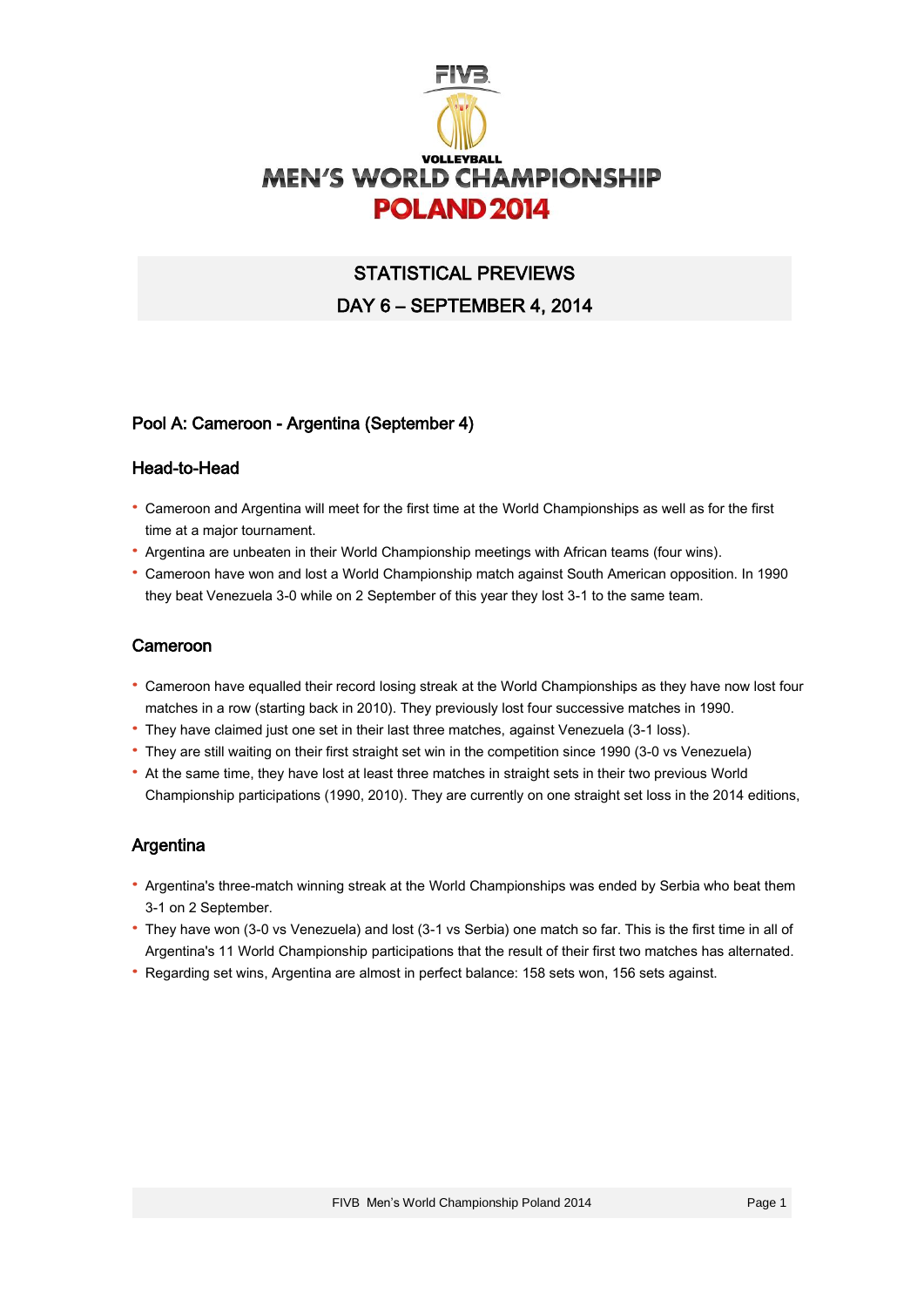

# STATISTICAL PREVIEWS DAY 6 – SEPTEMBER 4, 2014

### Pool A: Cameroon - Argentina (September 4)

#### Head-to-Head

- · Cameroon and Argentina will meet for the first time at the World Championships as well as for the first time at a major tournament.
- · Argentina are unbeaten in their World Championship meetings with African teams (four wins).
- · Cameroon have won and lost a World Championship match against South American opposition. In 1990 they beat Venezuela 3-0 while on 2 September of this year they lost 3-1 to the same team.

### Cameroon

- · Cameroon have equalled their record losing streak at the World Championships as they have now lost four matches in a row (starting back in 2010). They previously lost four successive matches in 1990.
- · They have claimed just one set in their last three matches, against Venezuela (3-1 loss).
- · They are still waiting on their first straight set win in the competition since 1990 (3-0 vs Venezuela)
- · At the same time, they have lost at least three matches in straight sets in their two previous World Championship participations (1990, 2010). They are currently on one straight set loss in the 2014 editions,

### Argentina

- · Argentina's three-match winning streak at the World Championships was ended by Serbia who beat them 3-1 on 2 September.
- · They have won (3-0 vs Venezuela) and lost (3-1 vs Serbia) one match so far. This is the first time in all of Argentina's 11 World Championship participations that the result of their first two matches has alternated.
- · Regarding set wins, Argentina are almost in perfect balance: 158 sets won, 156 sets against.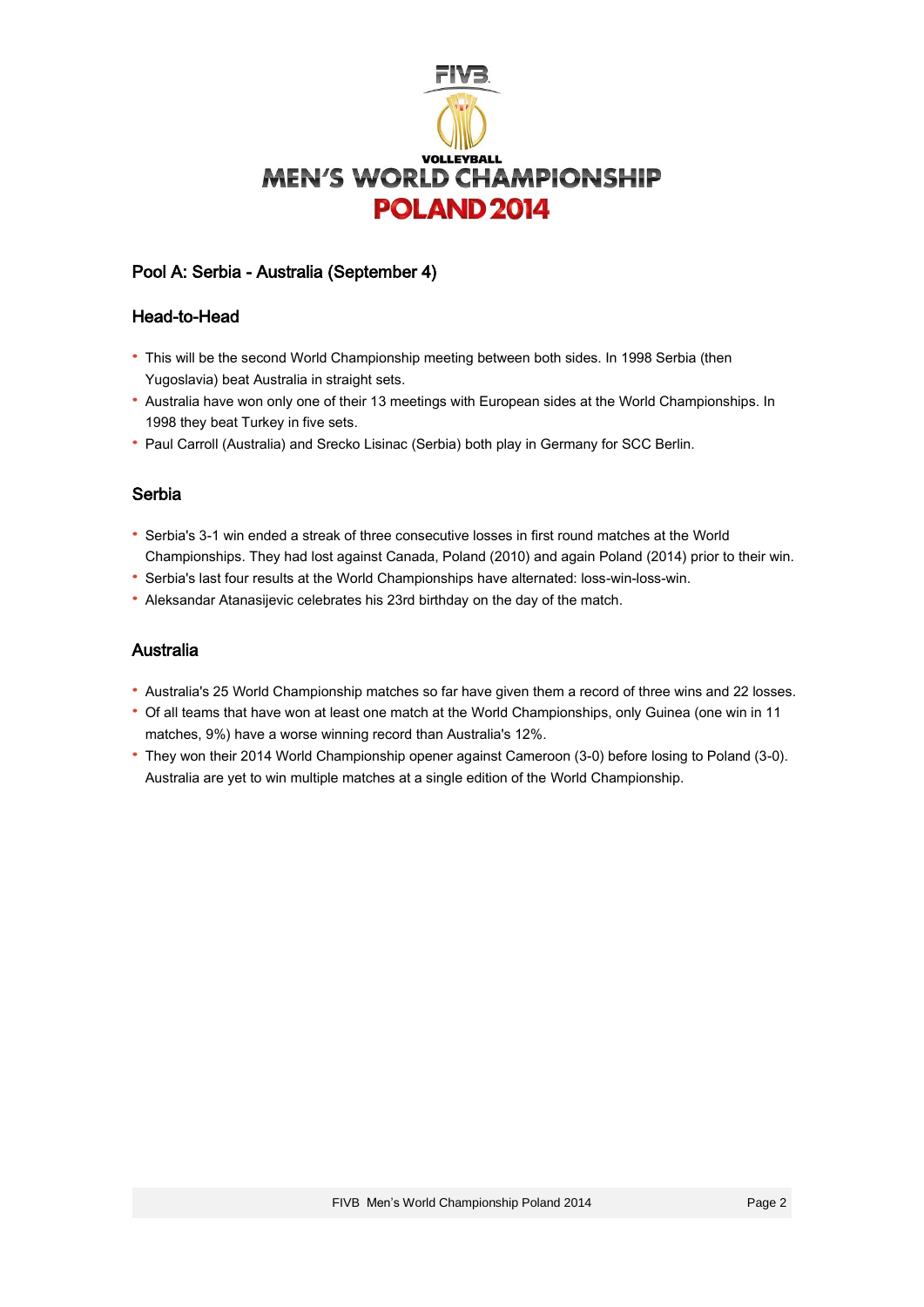

# Pool A: Serbia - Australia (September 4)

#### Head-to-Head

- · This will be the second World Championship meeting between both sides. In 1998 Serbia (then Yugoslavia) beat Australia in straight sets.
- · Australia have won only one of their 13 meetings with European sides at the World Championships. In 1998 they beat Turkey in five sets.
- · Paul Carroll (Australia) and Srecko Lisinac (Serbia) both play in Germany for SCC Berlin.

#### Serbia

- · Serbia's 3-1 win ended a streak of three consecutive losses in first round matches at the World Championships. They had lost against Canada, Poland (2010) and again Poland (2014) prior to their win.
- · Serbia's last four results at the World Championships have alternated: loss-win-loss-win.
- · Aleksandar Atanasijevic celebrates his 23rd birthday on the day of the match.

### Australia

- · Australia's 25 World Championship matches so far have given them a record of three wins and 22 losses.
- · Of all teams that have won at least one match at the World Championships, only Guinea (one win in 11 matches, 9%) have a worse winning record than Australia's 12%.
- · They won their 2014 World Championship opener against Cameroon (3-0) before losing to Poland (3-0). Australia are yet to win multiple matches at a single edition of the World Championship.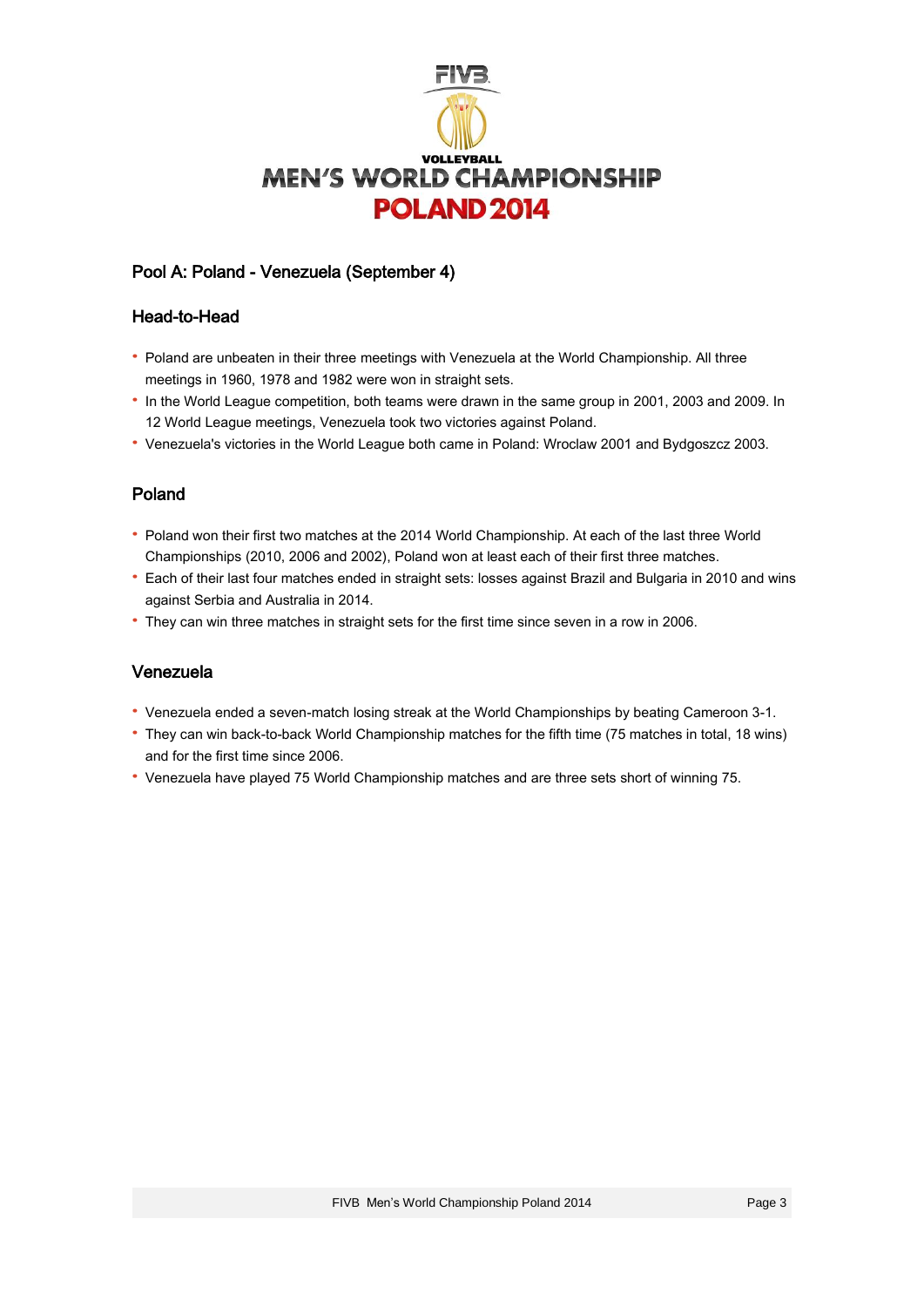

# Pool A: Poland - Venezuela (September 4)

### Head-to-Head

- · Poland are unbeaten in their three meetings with Venezuela at the World Championship. All three meetings in 1960, 1978 and 1982 were won in straight sets.
- · In the World League competition, both teams were drawn in the same group in 2001, 2003 and 2009. In 12 World League meetings, Venezuela took two victories against Poland.
- · Venezuela's victories in the World League both came in Poland: Wroclaw 2001 and Bydgoszcz 2003.

### Poland

- · Poland won their first two matches at the 2014 World Championship. At each of the last three World Championships (2010, 2006 and 2002), Poland won at least each of their first three matches.
- · Each of their last four matches ended in straight sets: losses against Brazil and Bulgaria in 2010 and wins against Serbia and Australia in 2014.
- · They can win three matches in straight sets for the first time since seven in a row in 2006.

### Venezuela

- · Venezuela ended a seven-match losing streak at the World Championships by beating Cameroon 3-1.
- · They can win back-to-back World Championship matches for the fifth time (75 matches in total, 18 wins) and for the first time since 2006.
- · Venezuela have played 75 World Championship matches and are three sets short of winning 75.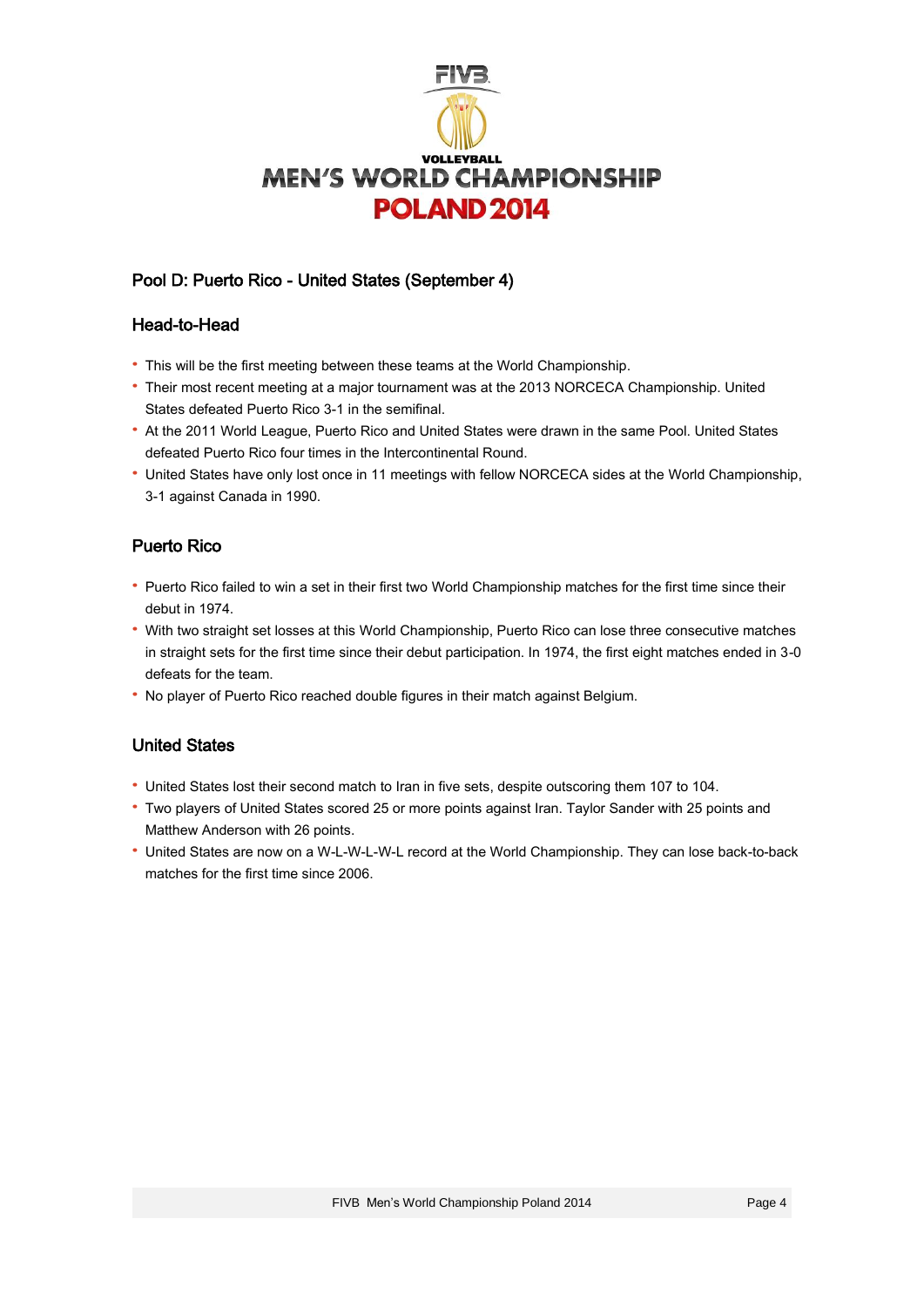

# Pool D: Puerto Rico - United States (September 4)

### Head-to-Head

- · This will be the first meeting between these teams at the World Championship.
- · Their most recent meeting at a major tournament was at the 2013 NORCECA Championship. United States defeated Puerto Rico 3-1 in the semifinal.
- · At the 2011 World League, Puerto Rico and United States were drawn in the same Pool. United States defeated Puerto Rico four times in the Intercontinental Round.
- · United States have only lost once in 11 meetings with fellow NORCECA sides at the World Championship, 3-1 against Canada in 1990.

# Puerto Rico

- · Puerto Rico failed to win a set in their first two World Championship matches for the first time since their debut in 1974.
- · With two straight set losses at this World Championship, Puerto Rico can lose three consecutive matches in straight sets for the first time since their debut participation. In 1974, the first eight matches ended in 3-0 defeats for the team.
- · No player of Puerto Rico reached double figures in their match against Belgium.

# United States

- · United States lost their second match to Iran in five sets, despite outscoring them 107 to 104.
- · Two players of United States scored 25 or more points against Iran. Taylor Sander with 25 points and Matthew Anderson with 26 points.
- · United States are now on a W-L-W-L-W-L record at the World Championship. They can lose back-to-back matches for the first time since 2006.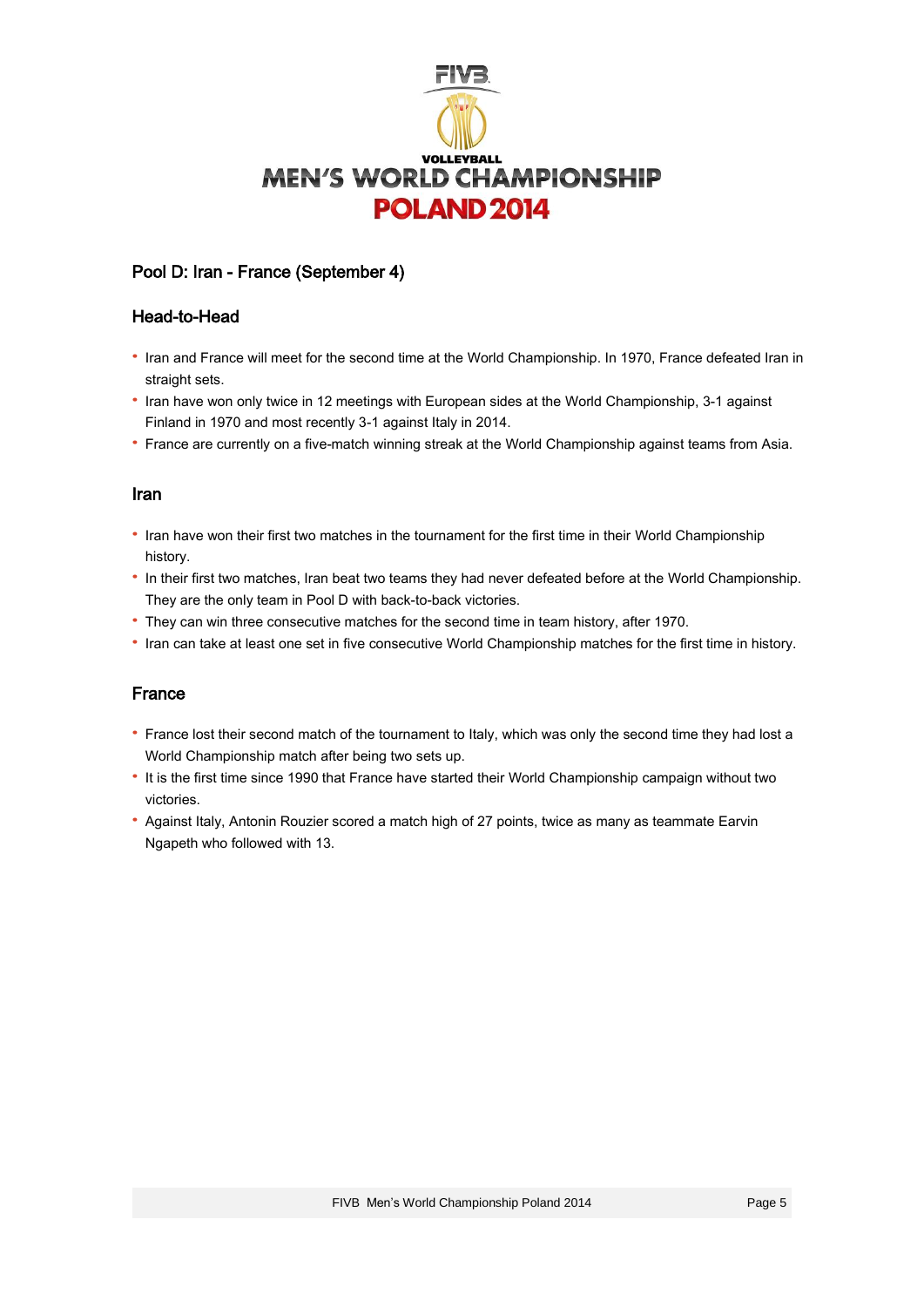

## Pool D: Iran - France (September 4)

#### Head-to-Head

- · Iran and France will meet for the second time at the World Championship. In 1970, France defeated Iran in straight sets.
- · Iran have won only twice in 12 meetings with European sides at the World Championship, 3-1 against Finland in 1970 and most recently 3-1 against Italy in 2014.
- · France are currently on a five-match winning streak at the World Championship against teams from Asia.

#### Iran

- · Iran have won their first two matches in the tournament for the first time in their World Championship history.
- · In their first two matches, Iran beat two teams they had never defeated before at the World Championship. They are the only team in Pool D with back-to-back victories.
- · They can win three consecutive matches for the second time in team history, after 1970.
- · Iran can take at least one set in five consecutive World Championship matches for the first time in history.

### France

- · France lost their second match of the tournament to Italy, which was only the second time they had lost a World Championship match after being two sets up.
- · It is the first time since 1990 that France have started their World Championship campaign without two victories.
- · Against Italy, Antonin Rouzier scored a match high of 27 points, twice as many as teammate Earvin Ngapeth who followed with 13.